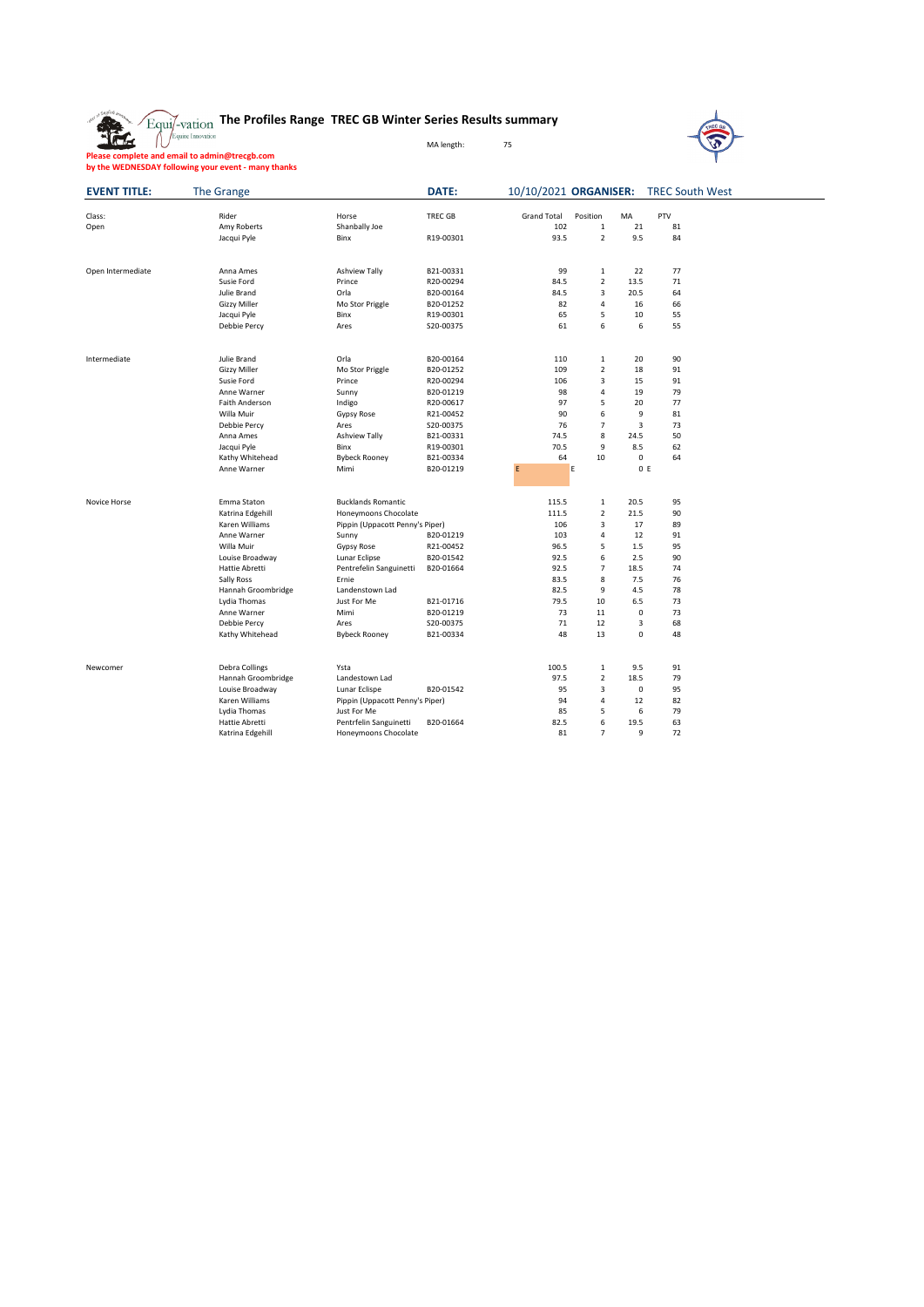**The Profiles Range TREC GB Winter Series Results summary**

MA length: 75



**Please complete and email to admin@trecgb.com by the WEDNESDAY following your event - many thanks**

盘

| <b>EVENT TITLE:</b> | The Grange          |                                 | DATE:          |                    |                         |             | 10/10/2021 ORGANISER: TREC South West |
|---------------------|---------------------|---------------------------------|----------------|--------------------|-------------------------|-------------|---------------------------------------|
| Class:              | Rider               | Horse                           | <b>TREC GB</b> | <b>Grand Total</b> | Position                | MA          | PTV                                   |
| Open                | Amy Roberts         | Shanbally Joe                   |                | 102                | $\mathbf 1$             | 21          | 81                                    |
|                     | Jacqui Pyle         | Binx                            | R19-00301      | 93.5               | $\overline{2}$          | 9.5         | 84                                    |
| Open Intermediate   | Anna Ames           | Ashview Tally                   | B21-00331      | 99                 | $\mathbf 1$             | 22          | 77                                    |
|                     | Susie Ford          | Prince                          | R20-00294      | 84.5               | $\overline{2}$          | 13.5        | 71                                    |
|                     | Julie Brand         | Orla                            | B20-00164      | 84.5               | 3                       | 20.5        | 64                                    |
|                     | <b>Gizzy Miller</b> | Mo Stor Priggle                 | B20-01252      | 82                 | 4                       | 16          | 66                                    |
|                     | Jacqui Pyle         | Binx                            | R19-00301      | 65                 | 5                       | 10          | 55                                    |
|                     | Debbie Percy        | Ares                            | S20-00375      | 61                 | 6                       | 6           | 55                                    |
| Intermediate        | Julie Brand         | Orla                            | B20-00164      | 110                | $\mathbf 1$             | 20          | 90                                    |
|                     | Gizzy Miller        | Mo Stor Priggle                 | B20-01252      | 109                | $\overline{2}$          | 18          | 91                                    |
|                     | Susie Ford          | Prince                          | R20-00294      | 106                | 3                       | 15          | 91                                    |
|                     | Anne Warner         | Sunny                           | B20-01219      | 98                 | 4                       | 19          | 79                                    |
|                     | Faith Anderson      | Indigo                          | R20-00617      | 97                 | 5                       | 20          | 77                                    |
|                     | Willa Muir          | Gypsy Rose                      | R21-00452      | 90                 | 6                       | 9           | 81                                    |
|                     | Debbie Percy        | Ares                            | S20-00375      | 76                 | $\overline{7}$          | 3           | 73                                    |
|                     | Anna Ames           | Ashview Tally                   | B21-00331      | 74.5               | 8                       | 24.5        | 50                                    |
|                     | Jacqui Pyle         | Binx                            | R19-00301      | 70.5               | 9                       | 8.5         | 62                                    |
|                     | Kathy Whitehead     | <b>Bybeck Rooney</b>            | B21-00334      | 64                 | 10                      | $\mathsf 0$ | 64                                    |
|                     | Anne Warner         | Mimi                            | B20-01219      | E                  | E                       |             | 0 E                                   |
| Novice Horse        | Emma Staton         | <b>Bucklands Romantic</b>       |                | 115.5              | $\mathbf{1}$            | 20.5        | 95                                    |
|                     | Katrina Edgehill    | Honeymoons Chocolate            |                | 111.5              | $\overline{\mathbf{c}}$ | 21.5        | 90                                    |
|                     | Karen Williams      | Pippin (Uppacott Penny's Piper) |                | 106                | 3                       | 17          | 89                                    |
|                     | Anne Warner         | Sunny                           | B20-01219      | 103                | 4                       | 12          | 91                                    |
|                     | Willa Muir          | Gypsy Rose                      | R21-00452      | 96.5               | 5                       | 1.5         | 95                                    |
|                     | Louise Broadway     | Lunar Eclipse                   | B20-01542      | 92.5               | 6                       | 2.5         | 90                                    |
|                     | Hattie Abretti      | Pentrefelin Sanguinetti         | B20-01664      | 92.5               | $\overline{7}$          | 18.5        | 74                                    |
|                     | Sally Ross          | Frnie                           |                | 83.5               | 8                       | 7.5         | 76                                    |
|                     | Hannah Groombridge  | Landenstown Lad                 |                | 82.5               | 9                       | 4.5         | 78                                    |
|                     | Lydia Thomas        | Just For Me                     | B21-01716      | 79.5               | 10                      | 6.5         | 73                                    |
|                     | Anne Warner         | Mimi                            | B20-01219      | 73                 | 11                      | $\mathbf 0$ | 73                                    |
|                     | Debbie Percy        | Ares                            | S20-00375      | 71                 | 12                      | 3           | 68                                    |
|                     | Kathy Whitehead     | <b>Bybeck Rooney</b>            | B21-00334      | 48                 | 13                      | $\mathbf 0$ | 48                                    |
| Newcomer            | Debra Collings      | Ysta                            |                | 100.5              | 1                       | 9.5         | 91                                    |
|                     | Hannah Groombridge  | Landestown Lad                  |                | 97.5               | $\overline{\mathbf{c}}$ | 18.5        | 79                                    |
|                     | Louise Broadway     | Lunar Eclispe                   | B20-01542      | 95                 | 3                       | $\pmb{0}$   | 95                                    |
|                     | Karen Williams      | Pippin (Uppacott Penny's Piper) |                | 94                 | 4                       | 12          | 82                                    |
|                     | Lydia Thomas        | Just For Me                     |                | 85                 | 5                       | 6           | 79                                    |
|                     | Hattie Abretti      | Pentrfelin Sanguinetti          | B20-01664      | 82.5               | 6                       | 19.5        | 63                                    |
|                     | Katrina Edgehill    | Honeymoons Chocolate            |                | 81                 | $\overline{7}$          | 9           | 72                                    |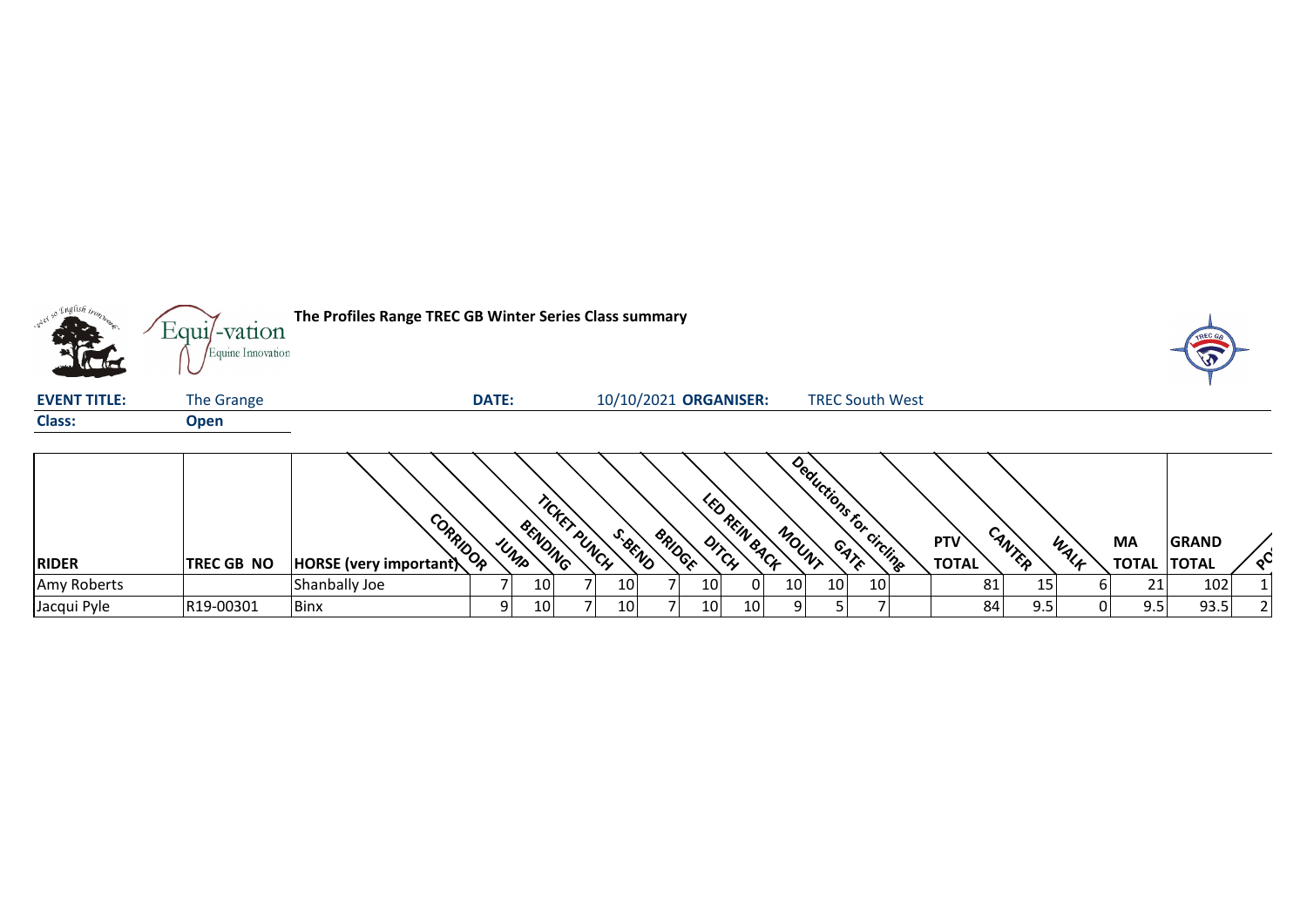|                     | $Equi$ -vation<br>Equine Innovation | The Profiles Range TREC GB Winter Series Class summary |              |                 |                 |                          |                        |    |                 |                         |                 |                     |        |      |                          | <b>TREC</b>  |          |
|---------------------|-------------------------------------|--------------------------------------------------------|--------------|-----------------|-----------------|--------------------------|------------------------|----|-----------------|-------------------------|-----------------|---------------------|--------|------|--------------------------|--------------|----------|
| <b>EVENT TITLE:</b> | The Grange                          |                                                        | <b>DATE:</b> |                 |                 | 10/10/2021 ORGANISER:    |                        |    |                 | <b>TREC South West</b>  |                 |                     |        |      |                          |              |          |
| <b>Class:</b>       | <b>Open</b>                         |                                                        |              |                 |                 |                          |                        |    |                 |                         |                 |                     |        |      |                          |              |          |
| <b>RIDER</b>        | TREC GB NO                          | CORRIDOR<br>HORSE (very important)                     | UMP          | BENDING         | TICKET PUNCH    | S. BEND<br><b>BRIDGE</b> | LED REIN BACK<br>DITCH |    | MOUNT           | Deductions for circline |                 | PTV<br><b>TOTAL</b> | CANTER | WALF | MA<br><b>TOTAL TOTAL</b> | <b>GRAND</b> | $\infty$ |
| Amy Roberts         |                                     | Shanbally Joe                                          |              | 10              | 10 <sub>l</sub> |                          | 10 <sub>l</sub>        | 01 | 10 <sub>1</sub> | 10 <sub>1</sub>         | 10 <sub>1</sub> | 81                  | 15     | h    | 21                       | 102          |          |
| Jacqui Pyle         | R19-00301                           | <b>Binx</b>                                            | 9            | 10 <sub>l</sub> | 10 <sup>1</sup> |                          | 10                     | 10 | ا 9             |                         |                 | 84                  | 9.5    | 0l   | 9.5                      | 93.5         |          |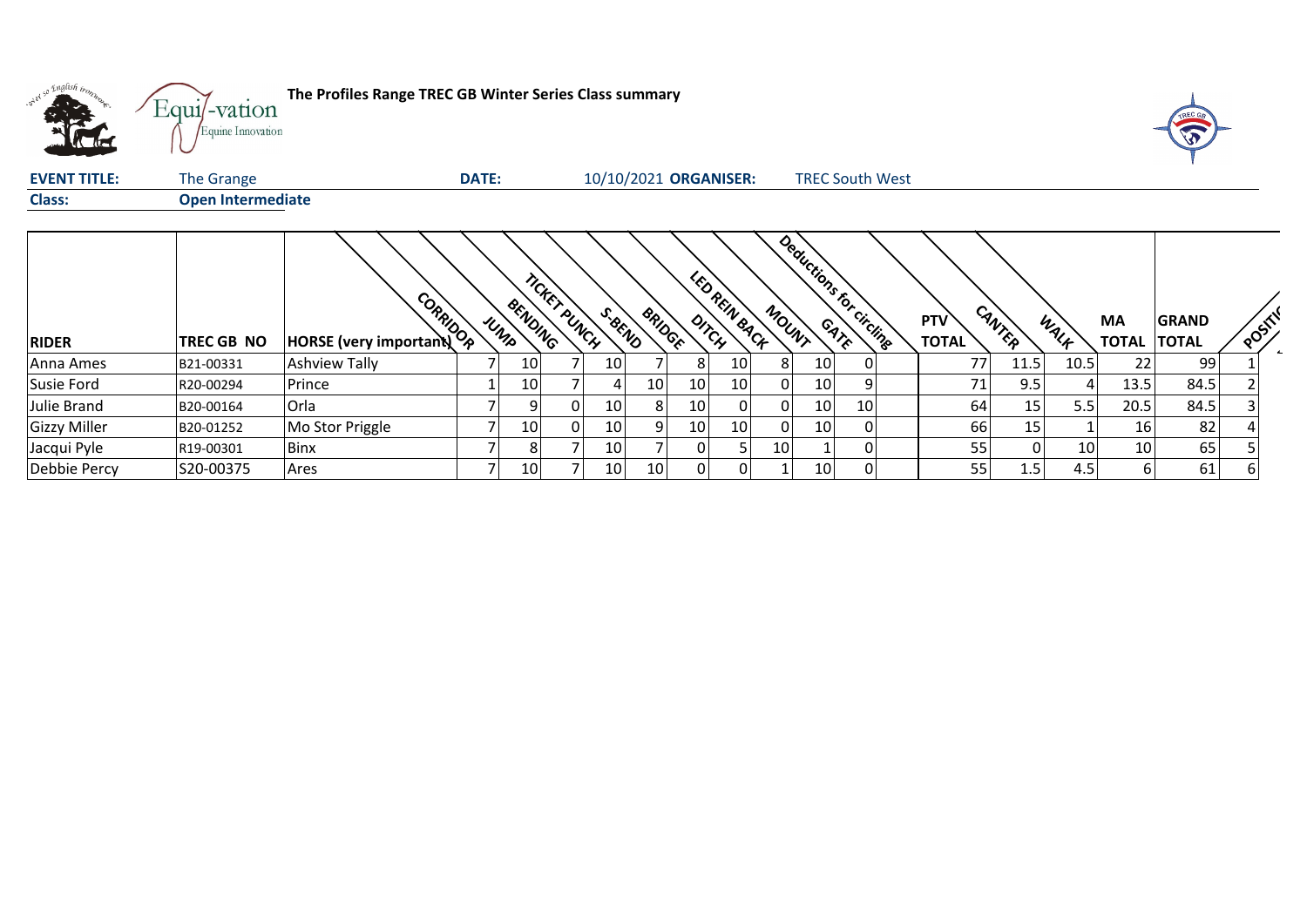| what so English trong | The Profiles Range TREC GB Winter Series Class summary<br>Equi/-vation<br>Equine Innovation |                                    |              |                 |             |                 |               |                       |                      |                 |                         |    |  |                     |        |      |      | TREC GA                            |        |  |
|-----------------------|---------------------------------------------------------------------------------------------|------------------------------------|--------------|-----------------|-------------|-----------------|---------------|-----------------------|----------------------|-----------------|-------------------------|----|--|---------------------|--------|------|------|------------------------------------|--------|--|
| <b>EVENT TITLE:</b>   | The Grange                                                                                  |                                    | <b>DATE:</b> |                 |             |                 |               | 10/10/2021 ORGANISER: |                      |                 | <b>TREC South West</b>  |    |  |                     |        |      |      |                                    |        |  |
| <b>Class:</b>         | <b>Open Intermediate</b>                                                                    |                                    |              |                 |             |                 |               |                       |                      |                 |                         |    |  |                     |        |      |      |                                    |        |  |
| <b>RIDER</b>          | TREC GB NO                                                                                  | CORRIDOR<br>HORSE (very important) |              | BENDING<br>UMP  | ncker puwch | S. BEND         | <b>BRIDGE</b> | DITCH                 | <b>LED REIN BACK</b> | MOUNT           | Deductions for circline |    |  | PTV<br><b>TOTAL</b> | CANTER | WALK | MA   | <b>GRAND</b><br><b>TOTAL TOTAL</b> | POSITI |  |
| Anna Ames             | B21-00331                                                                                   | <b>Ashview Tally</b>               |              | 10              |             | 10 <sup>1</sup> |               | 8                     | 10 <sub>l</sub>      |                 | 10                      |    |  | 77                  | 11.5   | 10.5 | 22   | 99                                 |        |  |
| Susie Ford            | R20-00294                                                                                   | Prince                             |              | 10              |             |                 | 10            | 10                    | 10                   |                 | 10                      |    |  | 71                  | 9.5    |      | 13.5 | 84.5                               |        |  |
| Julie Brand           | B20-00164                                                                                   | Orla                               |              | 9               | 01          | 10 <sup>1</sup> | 8             | 10 <sub>l</sub>       | 0                    |                 | 10                      | 10 |  | 64                  | 15     | 5.5  | 20.5 | 84.5                               |        |  |
| <b>Gizzy Miller</b>   | B20-01252                                                                                   | Mo Stor Priggle                    |              | 10              | 01          | 10              | 9             | 10                    | 10                   |                 | 10                      |    |  | 66                  | 15     |      | 16   | 82                                 |        |  |
| Jacqui Pyle           | R19-00301                                                                                   | <b>Binx</b>                        | 7            | 8               |             | 10              |               | 0                     |                      | 10 <sub>l</sub> |                         | n  |  | 55                  | 0      | 10   | 10   | 65                                 |        |  |
| Debbie Percy          | S20-00375                                                                                   | Ares                               |              | 10 <sup>1</sup> |             | 10 <sup>1</sup> | 10            | 01                    | 01                   |                 | 10                      |    |  | 55                  | 1.5    | 4.5  | 6    | 61                                 |        |  |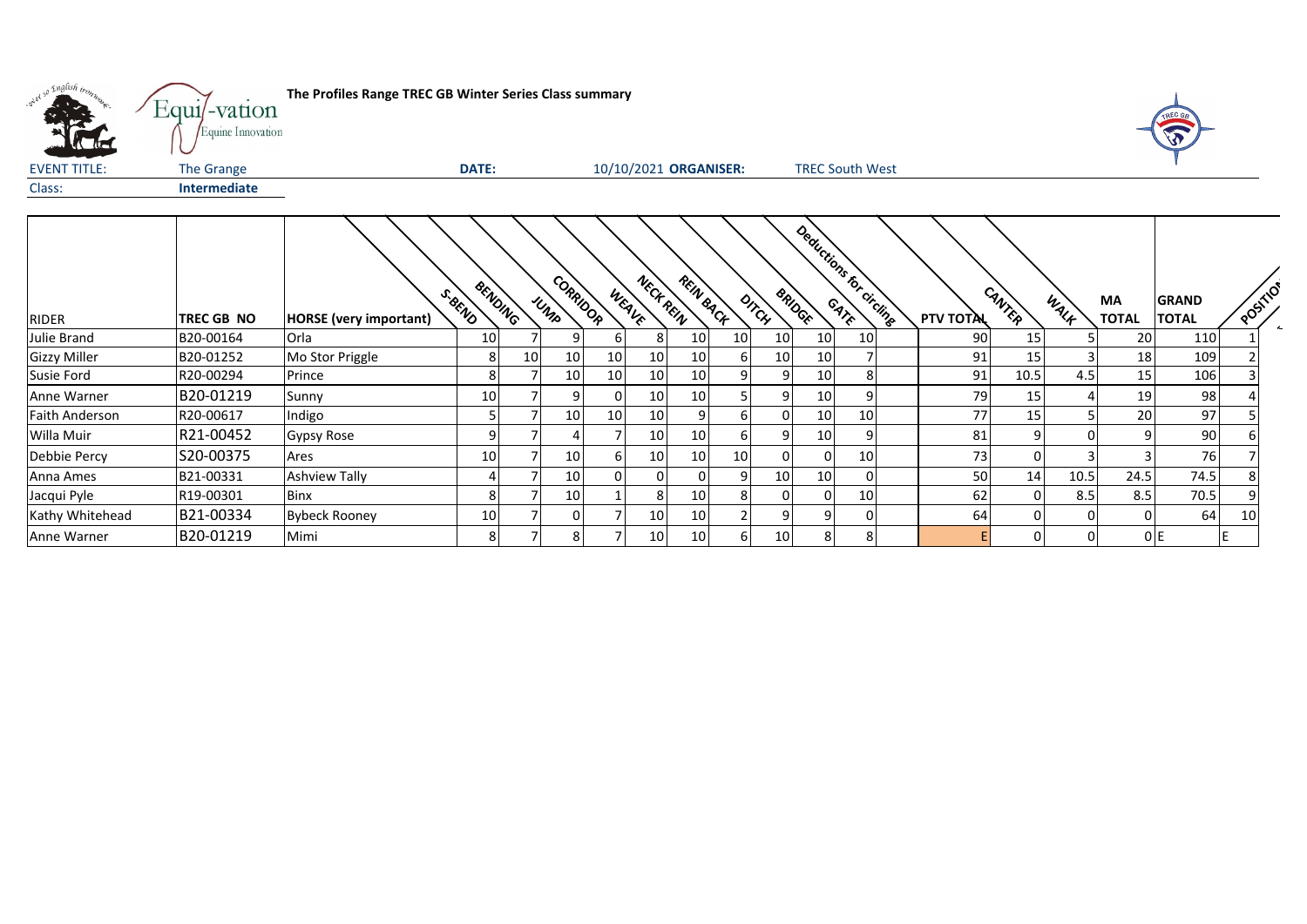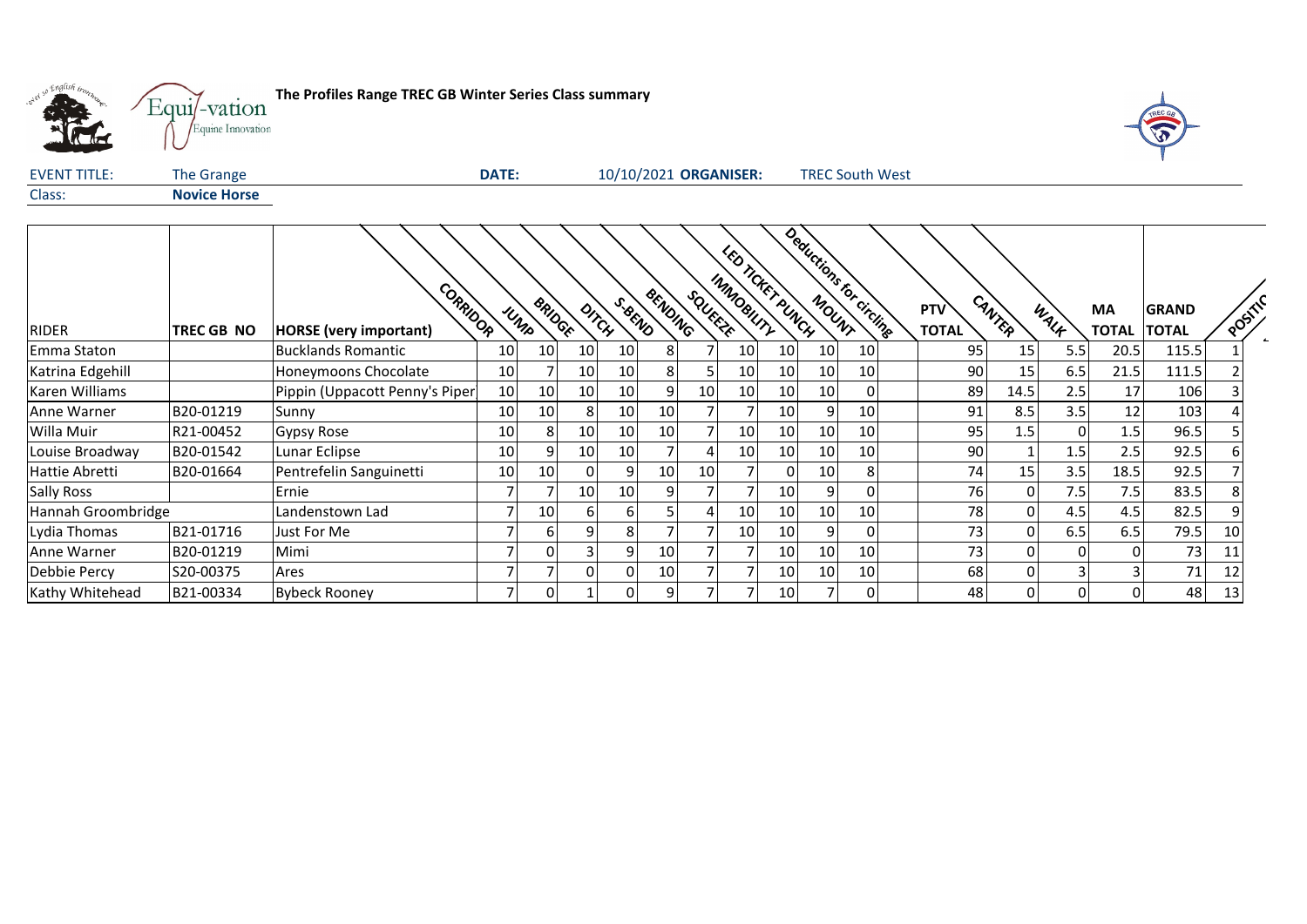

**The Profiles Range TREC GB Winter Series Class summary**<br> **The Profiles Range TREC GB Winter Series Class summary** 



| <b>EVENT TITLE:</b> | The Grange          | 10/10/2021 ORGANISER:<br><b>DATE:</b><br><b>TREC South West</b>                                                                                                                                 |
|---------------------|---------------------|-------------------------------------------------------------------------------------------------------------------------------------------------------------------------------------------------|
| Class:              | <b>Novice Horse</b> |                                                                                                                                                                                                 |
|                     |                     |                                                                                                                                                                                                 |
|                     |                     | Deductions f<br>$\mathscr{E}_{\mathcal{O}}$                                                                                                                                                     |
|                     |                     | <b>CHEX</b>                                                                                                                                                                                     |
|                     |                     | IMMOBILITY<br>CORRIDOR<br>BENDING<br><b>SQUEEZE</b><br>CANTER<br>MOUNT<br>PUNCH<br>S. BEND<br>circling<br><sup>BRID</sup> GE<br><b>PTV</b><br><b>MA</b><br><b>GRAND</b><br>Oncy<br>WALK<br>UNID |
| RIDER               | <b>TREC GB NO</b>   | <b>POST</b><br><b>TOTAL TOTAL</b><br><b>TOTAL</b><br><b>HORSE</b> (very important)                                                                                                              |

|                    |            |                                 |                 |                 |                 |      |                 |                 |                 |                 |      |                         | <b>PIV</b>   |          |       | <b>IVIA</b>      | <b>GKAND</b> |       |
|--------------------|------------|---------------------------------|-----------------|-----------------|-----------------|------|-----------------|-----------------|-----------------|-----------------|------|-------------------------|--------------|----------|-------|------------------|--------------|-------|
| <b>RIDER</b>       | TREC GB NO | <b>HORSE</b> (very important)   | <b>MOOR</b>     | UNID            | <b>TIOCK</b>    | Unch | BEND            | <b>DING</b>     | <b>SERVING</b>  | duty            | UNCH | UNIV<br><b>Strcling</b> | <b>TOTAL</b> | Mitch    | WALK  | <b>TOTAL</b>     | <b>TOTAL</b> | POSIT |
| Emma Staton        |            | Bucklands Romantic              | 10 <sub>l</sub> | 10              | 10              | 10   |                 |                 | 10              | 10 <sup>1</sup> | 10   | 10 I                    | 95           | 15       | 5.5   | 20.5             | 115.5        |       |
| Katrina Edgehill   |            | Honeymoons Chocolate            | 10 <sup>1</sup> |                 | 10              | 10   |                 |                 | 10              | 10 <sup>1</sup> | 10   | 10 <sup>1</sup>         |              | 90<br>15 | 6.5   | 21.5             | 111.5        |       |
| Karen Williams     |            | Pippin (Uppacott Penny's Piper) | 10              | 10              | 10              | 10   |                 | 10 <sub>1</sub> | 10              | 10 <sup>1</sup> | 10   |                         | 89           | 14.5     | 2.5   | 17               | 106          |       |
| Anne Warner        | B20-01219  | Sunny                           | 10 <sup>1</sup> | 10 <sup>1</sup> |                 | 10   | 10 <sup>1</sup> |                 |                 | 10 <sub>1</sub> |      | 10 <sup>1</sup>         | 91           | 8.5      | 3.5   | 12               | 103          |       |
| Willa Muir         | R21-00452  | <b>Gypsy Rose</b>               | 10              | 81              | 10              | 10   | <b>10</b>       |                 | 10              | 10 <sub>1</sub> | 10   | 10 <sup>1</sup>         | 95           | $1.5\,$  |       | $1.5\,$          | 96.5         |       |
| Louise Broadway    | B20-01542  | Lunar Eclipse                   | 10              | 91              | 10 <sub>1</sub> | 10   |                 |                 | 10              | 10 <sup>1</sup> | 10   | 10 <sup>1</sup>         |              | 90       | 1.51  | 2.5              | 92.5         |       |
| Hattie Abretti     | B20-01664  | Pentrefelin Sanguinetti         | 10 <sup>1</sup> | 10              |                 |      | 10 <sup>1</sup> | 10              |                 | 01              | 10   |                         |              | 15<br>74 | 3.5   | 18.5             | 92.5         |       |
| <b>Sally Ross</b>  |            | Ernie                           |                 |                 | 10              | 10   | ٩I              |                 |                 | 10 <sup>1</sup> | 9    |                         |              | 76<br>0  | 7.5 l | 7.5 <sub>1</sub> | 83.5         |       |
| Hannah Groombridge |            | Landenstown Lad                 |                 | 10              |                 |      |                 |                 | 10              | 10 <sup>1</sup> | 10   | 10 <sup>1</sup>         |              | 78       | 4.5   | 4.5              | 82.5         |       |
| Lydia Thomas       | B21-01716  | Just For Me                     |                 | 61              |                 |      |                 |                 | 10 <sub>1</sub> | 10 <sup>1</sup> | 9    |                         |              | 73<br>0  | 6.5   | 6.5              | 79.5         | 10    |
| Anne Warner        | B20-01219  | Mimi                            |                 | 01              |                 |      | <b>10</b>       |                 |                 | 10              | 10   | 10 <sup>1</sup>         |              | 73       |       |                  | 73           |       |
| Debbie Percy       | S20-00375  | Ares                            |                 |                 |                 |      | 10 <sup>1</sup> |                 |                 | 10 <sub>1</sub> | 10   | 10 <sup>1</sup>         | 68           |          |       |                  | 71           |       |
| Kathy Whitehead    | B21-00334  | <b>Bybeck Rooney</b>            |                 | ٥ı              |                 |      |                 |                 |                 | 10 <sup> </sup> |      |                         | 48           | 0        | ΩI    |                  | 48           |       |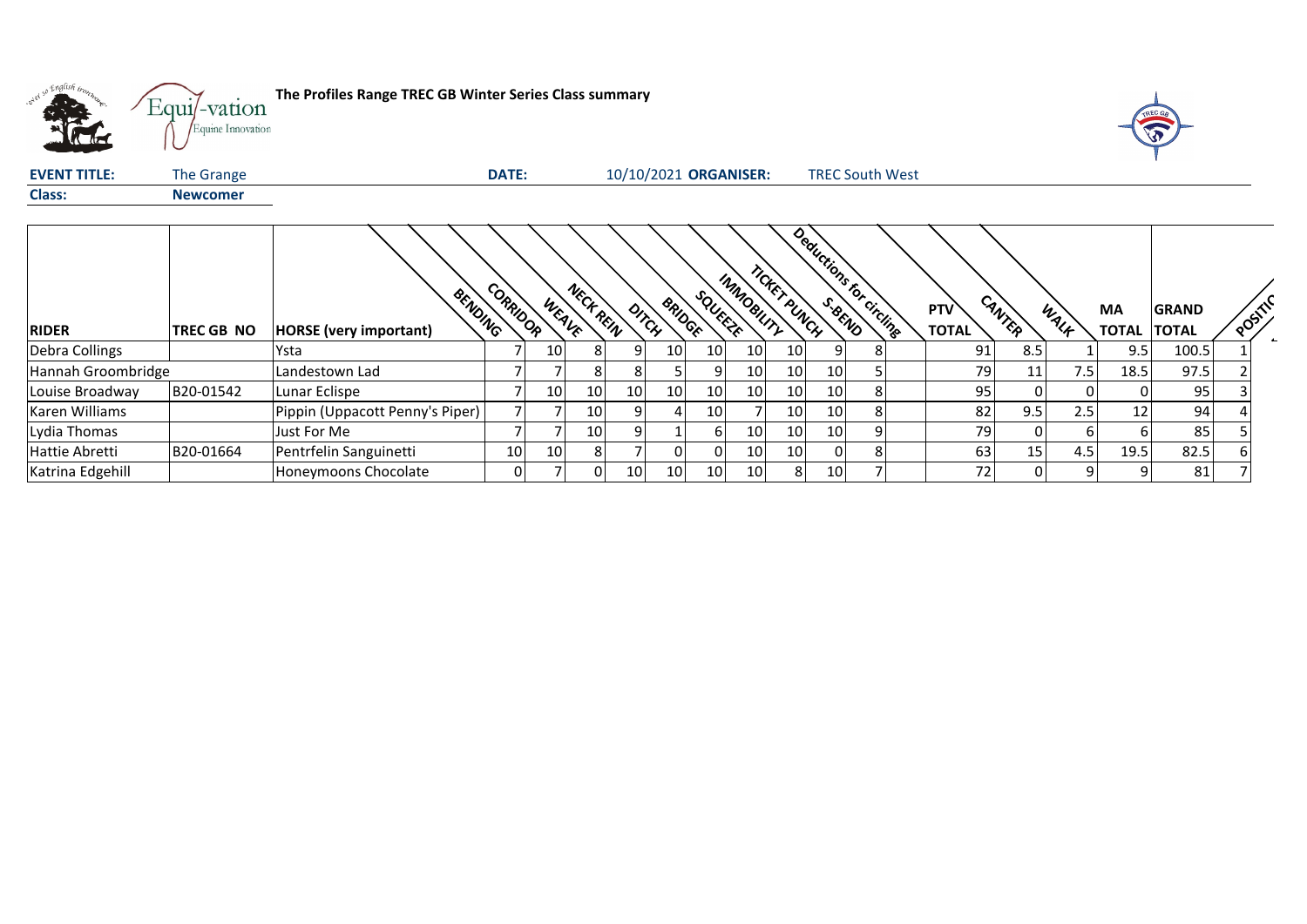

**The Profiles Range TREC GB Winter Series Class summary**<br> **The Profiles Range TREC GB Winter Series Class summary** 



| <b>EVENT TITLE:</b> | The Grange        |                                          | <b>DATE:</b> |       |                 | 10/10/2021 ORGANISER: |                        |                 |                 |                 |                 |   | <b>TREC South West</b>  |                            |          |      |                                 |       |         |  |
|---------------------|-------------------|------------------------------------------|--------------|-------|-----------------|-----------------------|------------------------|-----------------|-----------------|-----------------|-----------------|---|-------------------------|----------------------------|----------|------|---------------------------------|-------|---------|--|
| <b>Class:</b>       | <b>Newcomer</b>   |                                          |              |       |                 |                       |                        |                 |                 |                 |                 |   |                         |                            |          |      |                                 |       |         |  |
| <b>RIDER</b>        | <b>TREC GB NO</b> | BENDING<br><b>HORSE</b> (very important) | CORRIDOR     | WEAVE | NECK REIN       |                       | <b>BRIDGE</b><br>DITCH | SQUEEZE         | INMOBILITY      | TICKET PUNCH    |                 |   | Deductions for circling | <b>PTV</b><br><b>TOTAL</b> | CANTER   | WALK | <b>MA</b><br><b>TOTAL TOTAL</b> | GRAND | POSITIC |  |
| Debra Collings      |                   | Ysta                                     |              | 10    | 81              |                       | 10                     | 10 <sup>1</sup> | 10 <sup>1</sup> | 10 <sub>l</sub> |                 |   |                         | 91                         | 8.5      |      | 9.5                             | 100.5 |         |  |
| Hannah Groombridge  |                   | Landestown Lad                           |              |       | 81              | 81                    |                        | 9               | 10              | 10 <sup>1</sup> | 10              |   |                         | 79                         | 11       | 7.5  | 18.5                            | 97.5  |         |  |
| Louise Broadway     | B20-01542         | Lunar Eclispe                            |              | 10    | 10 <sup>1</sup> | 10                    | 10                     | 10              | 10              | 10              | 10              |   |                         | 95                         |          |      |                                 | 95    |         |  |
| Karen Williams      |                   | Pippin (Uppacott Penny's Piper)          |              |       | 10 <sup>1</sup> |                       |                        | 10              |                 | 10              | 10              |   |                         | 82                         | 9.5      | 2.5  | 12 <sub>1</sub>                 | 94    |         |  |
| Lydia Thomas        |                   | Just For Me                              |              |       | 10 <sup>1</sup> | 91                    |                        | 61              | 10              | 10 <sup>1</sup> | 10              | 9 |                         | 79                         | $\Omega$ | h    | 6                               | 85    |         |  |
| Hattie Abretti      | B20-01664         | Pentrfelin Sanguinetti                   | 10           | 10    | 81              |                       |                        |                 | 10              | 10              | ΩI              |   |                         | 63                         | 15       | 4.5  | 19.5                            | 82.5  |         |  |
| Katrina Edgehill    |                   | Honeymoons Chocolate                     | 01           |       | 01              | 10 <sub>l</sub>       | 10 <sub>l</sub>        | 10              | 10 <sup>1</sup> | 81              | 10 <sup>1</sup> |   |                         | 72                         |          |      |                                 | 81    |         |  |